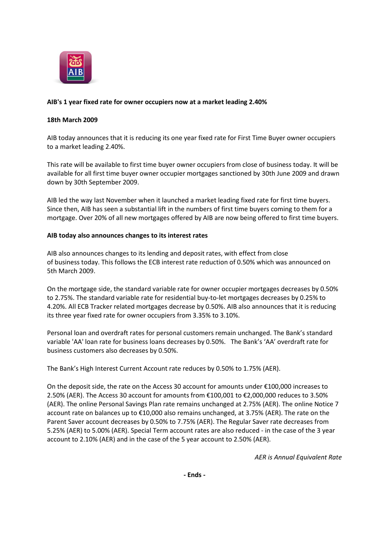

## **AIB's 1 year fixed rate for owner occupiers now at a market leading 2.40%**

## **18th March 2009**

AIB today announces that it is reducing its one year fixed rate for First Time Buyer owner occupiers to a market leading 2.40%.

This rate will be available to first time buyer owner occupiers from close of business today. It will be available for all first time buyer owner occupier mortgages sanctioned by 30th June 2009 and drawn down by 30th September 2009.

AIB led the way last November when it launched a market leading fixed rate for first time buyers. Since then, AIB has seen a substantial lift in the numbers of first time buyers coming to them for a mortgage. Over 20% of all new mortgages offered by AIB are now being offered to first time buyers.

## **AIB today also announces changes to its interest rates**

AIB also announces changes to its lending and deposit rates, with effect from close of business today. This follows the ECB interest rate reduction of 0.50% which was announced on 5th March 2009.

On the mortgage side, the standard variable rate for owner occupier mortgages decreases by 0.50% to 2.75%. The standard variable rate for residential buy-to-let mortgages decreases by 0.25% to 4.20%. All ECB Tracker related mortgages decrease by 0.50%. AIB also announces that it is reducing its three year fixed rate for owner occupiers from 3.35% to 3.10%.

Personal loan and overdraft rates for personal customers remain unchanged. The Bank's standard variable 'AA' loan rate for business loans decreases by 0.50%. The Bank's 'AA' overdraft rate for business customers also decreases by 0.50%.

The Bank's High Interest Current Account rate reduces by 0.50% to 1.75% (AER).

On the deposit side, the rate on the Access 30 account for amounts under €100,000 increases to 2.50% (AER). The Access 30 account for amounts from €100,001 to €2,000,000 reduces to 3.50% (AER). The online Personal Savings Plan rate remains unchanged at 2.75% (AER). The online Notice 7 account rate on balances up to €10,000 also remains unchanged, at 3.75% (AER). The rate on the Parent Saver account decreases by 0.50% to 7.75% (AER). The Regular Saver rate decreases from 5.25% (AER) to 5.00% (AER). Special Term account rates are also reduced - in the case of the 3 year account to 2.10% (AER) and in the case of the 5 year account to 2.50% (AER).

*AER is Annual Equivalent Rate*

**- Ends -**